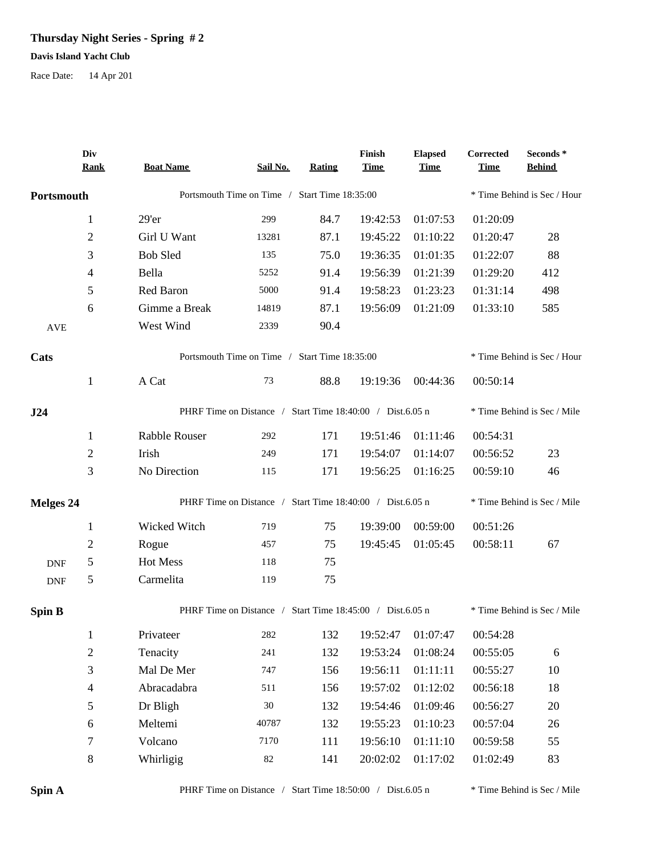## **Thursday Night Series - Spring # 2**

## **Davis Island Yacht Club**

Race Date: 14 Apr 201

|                  | Div<br><b>Rank</b>       | <b>Boat Name</b>                                          | Sail No.                                      | Rating                      | Finish<br><b>Time</b> | <b>Elapsed</b><br><b>Time</b> | Corrected<br><b>Time</b> | Seconds*<br><b>Behind</b>   |  |
|------------------|--------------------------|-----------------------------------------------------------|-----------------------------------------------|-----------------------------|-----------------------|-------------------------------|--------------------------|-----------------------------|--|
| Portsmouth       |                          |                                                           | Portsmouth Time on Time / Start Time 18:35:00 |                             |                       |                               |                          | * Time Behind is Sec / Hour |  |
|                  | $\mathbf{1}$             | 29'er                                                     | 299                                           | 84.7                        | 19:42:53              | 01:07:53                      | 01:20:09                 |                             |  |
|                  | $\sqrt{2}$               | Girl U Want                                               | 13281                                         | 87.1                        | 19:45:22              | 01:10:22                      | 01:20:47                 | 28                          |  |
|                  | 3                        | <b>Bob Sled</b>                                           | 135                                           | 75.0                        | 19:36:35              | 01:01:35                      | 01:22:07                 | 88                          |  |
|                  | 4                        | Bella                                                     | 5252                                          | 91.4                        | 19:56:39              | 01:21:39                      | 01:29:20                 | 412                         |  |
|                  | 5                        | Red Baron                                                 | 5000                                          | 91.4                        | 19:58:23              | 01:23:23                      | 01:31:14                 | 498                         |  |
|                  | 6                        | Gimme a Break                                             | 14819                                         | 87.1                        | 19:56:09              | 01:21:09                      | 01:33:10                 | 585                         |  |
| <b>AVE</b>       |                          | West Wind                                                 | 2339                                          | 90.4                        |                       |                               |                          |                             |  |
| Cats             |                          | Portsmouth Time on Time / Start Time 18:35:00             | * Time Behind is Sec / Hour                   |                             |                       |                               |                          |                             |  |
|                  | $\mathbf{1}$             | A Cat                                                     | 73                                            | 88.8                        | 19:19:36              | 00:44:36                      | 00:50:14                 |                             |  |
| J24              |                          | PHRF Time on Distance / Start Time 18:40:00 / Dist.6.05 n | * Time Behind is Sec / Mile                   |                             |                       |                               |                          |                             |  |
|                  | $\mathbf{1}$             | Rabble Rouser                                             | 292                                           | 171                         | 19:51:46              | 01:11:46                      | 00:54:31                 |                             |  |
|                  | $\mathfrak{2}$           | Irish                                                     | 249                                           | 171                         | 19:54:07              | 01:14:07                      | 00:56:52                 | 23                          |  |
|                  | 3                        | No Direction                                              | 115                                           | 171                         | 19:56:25              | 01:16:25                      | 00:59:10                 | 46                          |  |
| <b>Melges 24</b> |                          | PHRF Time on Distance / Start Time 18:40:00 / Dist.6.05 n |                                               |                             |                       |                               |                          | * Time Behind is Sec / Mile |  |
|                  | $\mathbf{1}$             | Wicked Witch                                              | 719                                           | 75                          | 19:39:00              | 00:59:00                      | 00:51:26                 |                             |  |
|                  | $\overline{2}$           | Rogue                                                     | 457                                           | 75                          | 19:45:45              | 01:05:45                      | 00:58:11                 | 67                          |  |
| <b>DNF</b>       | 5                        | Hot Mess                                                  | 118                                           | 75                          |                       |                               |                          |                             |  |
| <b>DNF</b>       | 5                        | Carmelita                                                 | 119                                           | 75                          |                       |                               |                          |                             |  |
| <b>Spin B</b>    |                          | PHRF Time on Distance / Start Time 18:45:00 / Dist.6.05 n |                                               | * Time Behind is Sec / Mile |                       |                               |                          |                             |  |
|                  | 1                        | Privateer                                                 | 282                                           | 132                         | 19:52:47              | 01:07:47                      | 00:54:28                 |                             |  |
|                  | $\overline{2}$           | Tenacity                                                  | 241                                           | 132                         | 19:53:24              | 01:08:24                      | 00:55:05                 | 6                           |  |
|                  | 3                        | Mal De Mer                                                | 747                                           | 156                         | 19:56:11              | 01:11:11                      | 00:55:27                 | $10\,$                      |  |
|                  | $\overline{\mathcal{A}}$ | Abracadabra                                               | 511                                           | 156                         | 19:57:02              | 01:12:02                      | 00:56:18                 | 18                          |  |
|                  | 5                        | Dr Bligh                                                  | $30\,$                                        | 132                         | 19:54:46              | 01:09:46                      | 00:56:27                 | 20                          |  |
|                  | 6                        | Meltemi                                                   | 40787                                         | 132                         | 19:55:23              | 01:10:23                      | 00:57:04                 | 26                          |  |
|                  | $\tau$                   | Volcano                                                   | 7170                                          | 111                         | 19:56:10              | 01:11:10                      | 00:59:58                 | 55                          |  |
|                  | 8                        | Whirligig                                                 | $82\,$                                        | 141                         | 20:02:02              | 01:17:02                      | 01:02:49                 | 83                          |  |